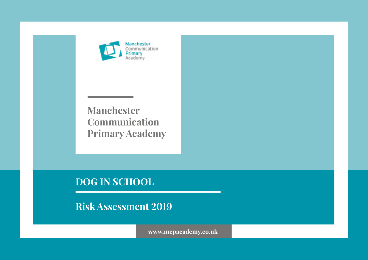

**Manchester Communication Primary Academy**

**DOG IN SCHOOL**

**Risk Assessment 2019**

**www.mcpacademy.co.uk**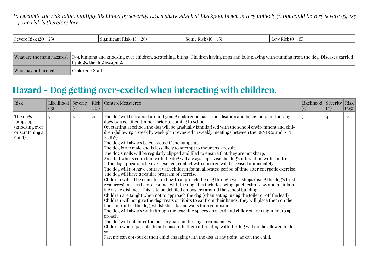To calculate the risk value, multiply likelihood by severity. E.G. a shark attack at Blackpool beach is very unlikely (1) but could be very severe (5), 1x5  $=$  5, the risk is therefore low.

| $\alpha$<br>∩ −<br>$\Omega$<br>(10)<br>Kisl<br>Some<br>$.8$ Never<br>RICK<br>nncant<br>1107ء<br>71 N.H<br>$\Delta U$<br>1 U.D.I<br>19 L<br>. . <i>.</i><br>. | $-$<br>RICK<br>.0 M<br>ны<br>. |
|--------------------------------------------------------------------------------------------------------------------------------------------------------------|--------------------------------|
|--------------------------------------------------------------------------------------------------------------------------------------------------------------|--------------------------------|

|                    | What are the main hazards?   Dog jumping and knocking over children, scratching, biting. Children having trips and falls playing with/running from the dog. Diseases carried<br>by dogs, the dog escaping. |
|--------------------|------------------------------------------------------------------------------------------------------------------------------------------------------------------------------------------------------------|
| Who may be harmed? | Children / Staff                                                                                                                                                                                           |

### **Hazard - Dog getting over-excited when interacting with children.**

| Risk                                                                | $\left( \frac{7}{5} \right)$ | (15) | (25) | Likelihood   Severity   Risk   Control Measueres                                                                                                                                                                                                                                                                                                                                                                                                                                                                                                                                                                                                                                                                                                                                                                                                                                                                                                                                                                                                                                                                                                                                                                                                                                                                                                                                                                                                                                                                                                                                                                                                                                                                                                                                                                                                                                                                                                     | Likelihood Severity<br>(1) | (15) | Risk<br>(25) |
|---------------------------------------------------------------------|------------------------------|------|------|------------------------------------------------------------------------------------------------------------------------------------------------------------------------------------------------------------------------------------------------------------------------------------------------------------------------------------------------------------------------------------------------------------------------------------------------------------------------------------------------------------------------------------------------------------------------------------------------------------------------------------------------------------------------------------------------------------------------------------------------------------------------------------------------------------------------------------------------------------------------------------------------------------------------------------------------------------------------------------------------------------------------------------------------------------------------------------------------------------------------------------------------------------------------------------------------------------------------------------------------------------------------------------------------------------------------------------------------------------------------------------------------------------------------------------------------------------------------------------------------------------------------------------------------------------------------------------------------------------------------------------------------------------------------------------------------------------------------------------------------------------------------------------------------------------------------------------------------------------------------------------------------------------------------------------------------------|----------------------------|------|--------------|
| The dogs<br>jumps up<br>(knocking over<br>or scratching a<br>child) |                              |      | 20   | The dog will be trained around young children in basic socialisation and behaviours for therapy<br>dogs by a certified trainer, prior to coming to school.<br>On starting at school, the dog will be gradually familiarised with the school environment and chil-<br>dren (following a week by week plan reviewed in weekly meetings between the SENDCo and AHT<br>PDBW).<br>The dog will always be corrected if she jumps up.<br>The dog is a female and is less likely to attempt to mount as a result.<br>The dog's nails will be regularly clipped and filed to ensure that they are not sharp.<br>An adult who is confident with the dog will always supervise the dog's interaction with children.<br>If the dog appears to be over-excited, contact with children will be ceased immediately.<br>The dog will not have contact with children for an allocated period of time after energetic exercise.<br>The dog will have a regular program of exercise.<br>Children will all be educated in how to approach the dog through workshops (using the dog's trust<br>resources) in class before contact with the dog, this includes being quiet, calm, slow and maintain-<br>ing a safe distance. This is to be detailed on posters around the school building.<br>Children are taught when not to approach the dog (when eating, using the toilet or off the lead).<br>Children will not give the dog treats or titbits to eat from their hands, they will place them on the<br>floor in front of the dog, whilst she sits and waits for a command.<br>The dog will always walk through the teaching spaces on a lead and children are taught not to ap-<br>proach.<br>The dog will not enter the nursery base under any circumstances.<br>Children whose parents do not consent to them interacting with the dog will not be allowed to do<br>SO.<br>Parents can opt-out of their child engaging with the dog at any point, as can the child. |                            |      | 12           |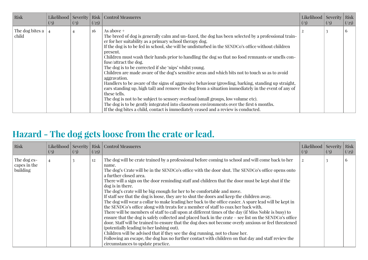| <b>Risk</b>              | (1) | (1) | (25) | Likelihood   Severity   Risk   Control Measueres                                                                                                                                                                                                                                                                                                                                                                                                                                                                                                                                                                                                                                                                                                                                                                                                                                                                                                                                                                                                                                                              | Likelihood   Severity  <br>$\left(\frac{7}{5}\right)$ | $\left(\frac{7}{5}\right)$ | Risk<br>(25) |
|--------------------------|-----|-----|------|---------------------------------------------------------------------------------------------------------------------------------------------------------------------------------------------------------------------------------------------------------------------------------------------------------------------------------------------------------------------------------------------------------------------------------------------------------------------------------------------------------------------------------------------------------------------------------------------------------------------------------------------------------------------------------------------------------------------------------------------------------------------------------------------------------------------------------------------------------------------------------------------------------------------------------------------------------------------------------------------------------------------------------------------------------------------------------------------------------------|-------------------------------------------------------|----------------------------|--------------|
| The dog bites a<br>child |     |     | 16   | As above $+$<br>The breed of dog is generally calm and un-fazed, the dog has been selected by a professional train-<br>er for her suitability as a primary school therapy dog.<br>If the dog is to be fed in school, she will be undisturbed in the SENDCo's office without children<br>present.<br>Children must wash their hands prior to handling the dog so that no food remnants or smells con-<br>fuse/attract the dog.<br>The dog is to be corrected if she 'nips' whilst young.<br>Children are made aware of the dog's sensitive areas and which bits not to touch so as to avoid<br>aggravation.<br>Handlers to be aware of the signs of aggressive behaviour (growling, barking, standing up straight,<br>ears standing up, high tail) and remove the dog from a situation immediately in the event of any of<br>these tells.<br>The dog is not to be subject to sensory overload (small groups, low volume etc).<br>The dog is to be gently integrated into classroom environments over the first 6 months.<br>If the dog bites a child, contact is immediately ceased and a review is conducted. |                                                       |                            | 6            |

# **Hazard - The dog gets loose from the crate or lead.**

| Risk                                    | $\left(\frac{7}{5}\right)$ | (15) | (25) | Likelihood   Severity   Risk   Control Measueres                                                                                                                                                                                                                                                                                                                                                                                                                                                                                                                                                                                                                                                                                                                                                                                                                                                                                                                                                                                                                                                                                                                                                                                                                                                                                             | Likelihood   Severity   Risk<br>$\left(\frac{7}{5}\right)$ | $(\frac{7}{5})$ | (25)         |
|-----------------------------------------|----------------------------|------|------|----------------------------------------------------------------------------------------------------------------------------------------------------------------------------------------------------------------------------------------------------------------------------------------------------------------------------------------------------------------------------------------------------------------------------------------------------------------------------------------------------------------------------------------------------------------------------------------------------------------------------------------------------------------------------------------------------------------------------------------------------------------------------------------------------------------------------------------------------------------------------------------------------------------------------------------------------------------------------------------------------------------------------------------------------------------------------------------------------------------------------------------------------------------------------------------------------------------------------------------------------------------------------------------------------------------------------------------------|------------------------------------------------------------|-----------------|--------------|
| The dog es-<br>capes in the<br>building |                            |      | 12   | The dog will be crate trained by a professional before coming to school and will come back to her<br>name.<br>The dog's Crate will be in the SENDCo's office with the door shut. The SENDCo's office opens onto<br>a further closed area.<br>There will a sign on the door reminding staff and children that the door must be kept shut if the<br>dog is in there.<br>The dog's crate will be big enough for her to be comfortable and move.<br>If staff see that the dog is loose, they are to shut the doors and keep the children away.<br>The dog will wear a collar to make leading her back to the office easier. A spare lead will be kept in<br>the SENDCo's office along with treats for a member of staff to coax her back with.<br>There will be members of staff to call upon at different times of the day (if Miss Noble is busy) to<br>ensure that the dog is safely collected and placed back in the crate – see list on the SENDCo's office<br>door. Staff will be trained to ensure that the dog does not become overly anxious or feel threatened<br>(potentially leading to her lashing out).<br>Children will be advised that if they see the dog running, not to chase her.<br>Following an escape, the dog has no further contact with children on that day and staff review the<br>circumstances to update practice. |                                                            |                 | <sub>0</sub> |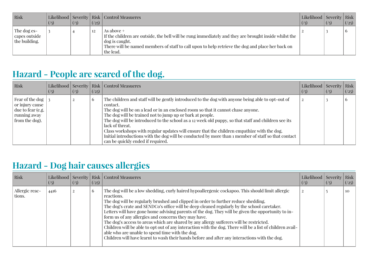| Risk                                            | (15) | $\left(\frac{7}{5}\right)$ | (25) | Likelihood   Severity   Risk   Control Measueres                                                                                                                                                                                                       | Likelihood   Severity   Risk  <br>(1) | (15) | (25) |
|-------------------------------------------------|------|----------------------------|------|--------------------------------------------------------------------------------------------------------------------------------------------------------------------------------------------------------------------------------------------------------|---------------------------------------|------|------|
| The dog es-<br>  capes outside<br>the building. |      |                            | 12   | As above +<br>If the children are outside, the bell will be rung immediately and they are brought inside whilst the<br>dog is caught.<br>There will be named members of staff to call upon to help retrieve the dog and place her back on<br>the lead. |                                       |      |      |

# **Hazard - People are scared of the dog.**

| Risk                                                                                        | (1) | ((5)) | (25)         | Likelihood   Severity   Risk   Control Measueres                                                                                                                                                                                                                                                                                                                                                                                                                                                                                                                                                                                  | Likelihood   Severity   Risk  <br>(1) | (15) | (25)           |
|---------------------------------------------------------------------------------------------|-----|-------|--------------|-----------------------------------------------------------------------------------------------------------------------------------------------------------------------------------------------------------------------------------------------------------------------------------------------------------------------------------------------------------------------------------------------------------------------------------------------------------------------------------------------------------------------------------------------------------------------------------------------------------------------------------|---------------------------------------|------|----------------|
| Fear of the dog  <br>or injury cause<br>due to fear (e.g.<br>running away<br>from the dog). |     |       | <sup>0</sup> | The children and staff will be gently introduced to the dog with anyone being able to opt-out of<br>contact.<br>The dog will be on a lead or in an enclosed room so that it cannot chase anyone.<br>The dog will be trained not to jump up or bark at people.<br>The dog will be introduced to the school as a 12 week old puppy, so that staff and children see its<br>lack of threat.<br>Class workshops with regular updates will ensure that the children empathize with the dog.<br>Initial introductions with the dog will be conducted by more than a member of staff so that contact<br>can be quickly ended if required. |                                       |      | $\mathfrak{b}$ |

# **Hazard - Dog hair causes allergies**

| Risk                     | (1)  | $(\frac{1}{5})$ | (25)          | Likelihood   Severity   Risk   Control Measueres                                                                                                                                                                                                                                                                                                                                                                                                                                                                                                                                                                                                                                                                                                                                                                              | Likelihood   Severity   Risk  <br>(1) | ((5)) | (25)            |
|--------------------------|------|-----------------|---------------|-------------------------------------------------------------------------------------------------------------------------------------------------------------------------------------------------------------------------------------------------------------------------------------------------------------------------------------------------------------------------------------------------------------------------------------------------------------------------------------------------------------------------------------------------------------------------------------------------------------------------------------------------------------------------------------------------------------------------------------------------------------------------------------------------------------------------------|---------------------------------------|-------|-----------------|
| Allergic reac-<br>tions. | 4416 |                 | $\mathfrak b$ | The dog will be a low shedding, curly haired hypoallergenic cockapoo. This should limit allergic<br>reactions.<br>The dog will be regularly brushed and clipped in order to further reduce shedding.<br>The dog's crate and SENDCo's office will be deep cleaned regularly by the school caretaker.<br>Letters will have gone home advising parents of the dog. They will be given the opportunity to in-<br>form us of any allergies and concerns they may have.<br>The dog's access to areas which are shared by any allergy sufferers will be restricted.<br>Children will be able to opt out of any interaction with the dog. There will be a list of children avail-<br>able who are unable to spend time with the dog.<br>Children will have learnt to wash their hands before and after any interactions with the dog. |                                       |       | 10 <sup>2</sup> |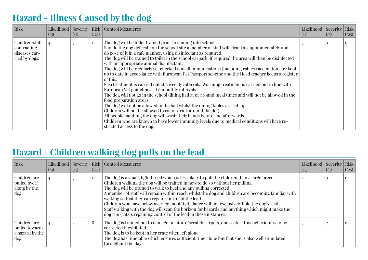# **Hazard - Illness Caused by the dog**

| Risk                                                            | $\left(\frac{7}{5}\right)$ | $(\frac{7}{5})$ | (25) | Likelihood   Severity   Risk   Control Measueres                                                                                                                                                                                                                                                                                                                                                                                                                                                                                                                                                                                                                                                                                                                                                                                                                                                                                                                                                                                                                                                                                                                                                                                                                       | Likelihood   Severity  <br>(1) | (1) | Risk<br>(25) |
|-----------------------------------------------------------------|----------------------------|-----------------|------|------------------------------------------------------------------------------------------------------------------------------------------------------------------------------------------------------------------------------------------------------------------------------------------------------------------------------------------------------------------------------------------------------------------------------------------------------------------------------------------------------------------------------------------------------------------------------------------------------------------------------------------------------------------------------------------------------------------------------------------------------------------------------------------------------------------------------------------------------------------------------------------------------------------------------------------------------------------------------------------------------------------------------------------------------------------------------------------------------------------------------------------------------------------------------------------------------------------------------------------------------------------------|--------------------------------|-----|--------------|
| Children/staff<br>contracting<br>diseases car-<br>ried by dogs. |                            |                 | 12   | The dog will be toilet trained prior to coming into school.<br>Should the dog defecate on the school site a member of staff will clear this up immediately and<br>dispose of it in a safe manner, using disinfectant as required.<br>The dog will be trained to toilet in the school carpark, if required the area will then be disinfected<br>with an appropriate animal disinfectant.<br>The dog will be regularly vet checked and all immunisations (including rabies vaccination) are kept<br>up to date in accordance with European Pet Passport scheme and the Head teacher keeps a register<br>of this.<br>Flea treatment is carried out at 6 weekly intervals. Worming treatment is carried out in line with<br>European Vet guidelines, at 6 monthly intervals.<br>The dog will not go in the school dining hall at or around meal times and will not be allowed in the<br>food preparation areas.<br>The dog will not be allowed in the hall whilst the dining tables are set-up.<br>Children will not be allowed to eat or drink around the dog.<br>All people handling the dog will wash their hands before and afterwards.<br>Children who are known to have lower immunity levels due to medical conditions will have re-<br>stricted access to the dog. |                                |     | $\Omega$     |

### **Hazard - Children walking dog pulls on the lead**

| Risk                                                     | $\left(\frac{7}{5}\right)$ | ((5)) | (25) | Likelihood   Severity   Risk   Control Measueres                                                                                                                                                                                                                                                                                                                                                                                                                                                                                                                                                                                                                                        | Likelihood   Severity   Risk<br>(1) | $\left(\frac{7}{5}\right)$ | (25)           |
|----------------------------------------------------------|----------------------------|-------|------|-----------------------------------------------------------------------------------------------------------------------------------------------------------------------------------------------------------------------------------------------------------------------------------------------------------------------------------------------------------------------------------------------------------------------------------------------------------------------------------------------------------------------------------------------------------------------------------------------------------------------------------------------------------------------------------------|-------------------------------------|----------------------------|----------------|
| Children are<br>pulled over/<br>along by the<br>dog      |                            |       | 12   | The dog is a small, light breed which is less likely to pull the children than a large breed.<br>Children walking the dog will be trained in how to do so without her pulling.<br>The dog will be trained to walk to heel and any pulling corrected.<br>A member of staff will remain within reach whilst the dog and children are becoming familiar with<br>walking so that they can regain control of the lead.<br>Children who have below average mobility/balance will not exclusively hold the dog's lead.<br>Staff walking with the dog will scan the horizon for hazards and anything which might make the<br>dog run (cats!), regaining control of the lead in these instances. |                                     |                            | $\mathbf b$    |
| Children are<br>pulled towards<br>a hazard by the<br>dog |                            |       | 8    | The dog is trained not to damage furniture/scratch carpets, doors etc – this behaviour is to be<br>corrected if exhibited.<br>The dog is to be kept in her crate when left alone.<br>The dog has timetable which ensures sufficient time alone but that she is also well stimulated<br>throughout the day.                                                                                                                                                                                                                                                                                                                                                                              |                                     |                            | $\mathfrak{b}$ |